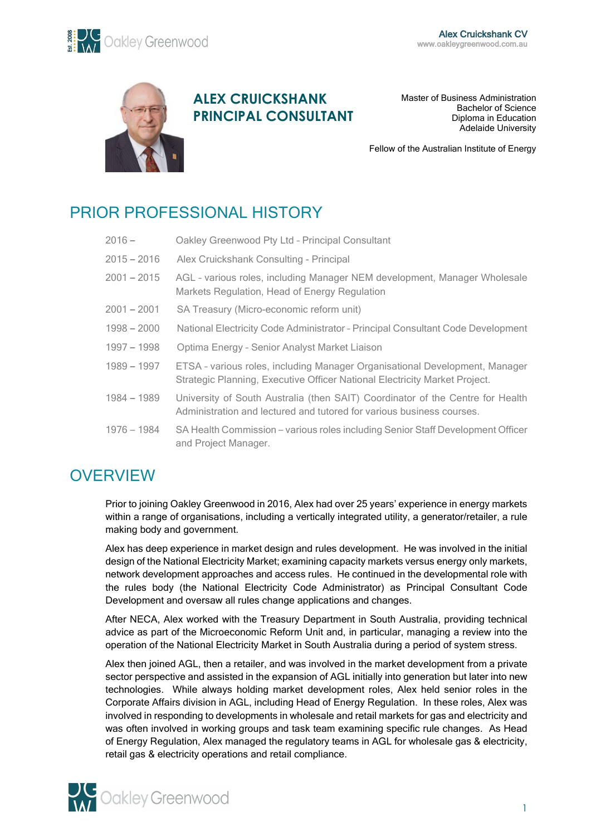

## **ALEX CRUICKSHANK PRINCIPAL CONSULTANT**

Master of Business Administration Bachelor of Science Diploma in Education Adelaide University

Fellow of the Australian Institute of Energy

# PRIOR PROFESSIONAL HISTORY

| $2016 -$      | Oakley Greenwood Pty Ltd - Principal Consultant                                                                                                           |
|---------------|-----------------------------------------------------------------------------------------------------------------------------------------------------------|
| $2015 - 2016$ | Alex Cruickshank Consulting - Principal                                                                                                                   |
| $2001 - 2015$ | AGL - various roles, including Manager NEM development, Manager Wholesale<br>Markets Regulation, Head of Energy Regulation                                |
| $2001 - 2001$ | SA Treasury (Micro-economic reform unit)                                                                                                                  |
| $1998 - 2000$ | National Electricity Code Administrator - Principal Consultant Code Development                                                                           |
| $1997 - 1998$ | Optima Energy - Senior Analyst Market Liaison                                                                                                             |
| $1989 - 1997$ | ETSA - various roles, including Manager Organisational Development, Manager<br>Strategic Planning, Executive Officer National Electricity Market Project. |
| $1984 - 1989$ | University of South Australia (then SAIT) Coordinator of the Centre for Health<br>Administration and lectured and tutored for various business courses.   |
| $1976 - 1984$ | SA Health Commission – various roles including Senior Staff Development Officer<br>and Project Manager.                                                   |

# **OVERVIEW**

Prior to joining Oakley Greenwood in 2016, Alex had over 25 years' experience in energy markets within a range of organisations, including a vertically integrated utility, a generator/retailer, a rule making body and government.

Alex has deep experience in market design and rules development. He was involved in the initial design of the National Electricity Market; examining capacity markets versus energy only markets, network development approaches and access rules. He continued in the developmental role with the rules body (the National Electricity Code Administrator) as Principal Consultant Code Development and oversaw all rules change applications and changes.

After NECA, Alex worked with the Treasury Department in South Australia, providing technical advice as part of the Microeconomic Reform Unit and, in particular, managing a review into the operation of the National Electricity Market in South Australia during a period of system stress.

Alex then joined AGL, then a retailer, and was involved in the market development from a private sector perspective and assisted in the expansion of AGL initially into generation but later into new technologies. While always holding market development roles, Alex held senior roles in the Corporate Affairs division in AGL, including Head of Energy Regulation. In these roles, Alex was involved in responding to developments in wholesale and retail markets for gas and electricity and was often involved in working groups and task team examining specific rule changes. As Head of Energy Regulation, Alex managed the regulatory teams in AGL for wholesale gas & electricity, retail gas & electricity operations and retail compliance.

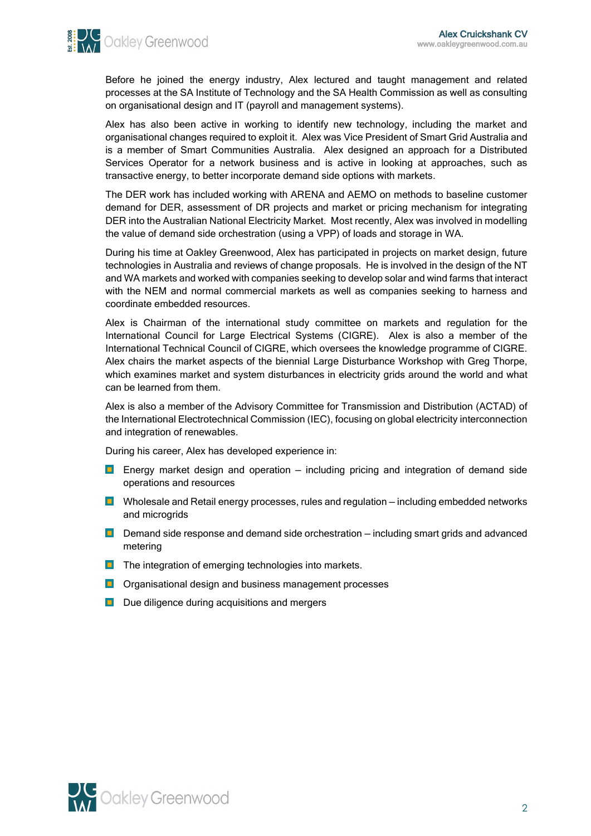

Before he joined the energy industry, Alex lectured and taught management and related processes at the SA Institute of Technology and the SA Health Commission as well as consulting on organisational design and IT (payroll and management systems).

Alex has also been active in working to identify new technology, including the market and organisational changes required to exploit it. Alex was Vice President of Smart Grid Australia and is a member of Smart Communities Australia. Alex designed an approach for a Distributed Services Operator for a network business and is active in looking at approaches, such as transactive energy, to better incorporate demand side options with markets.

The DER work has included working with ARENA and AEMO on methods to baseline customer demand for DER, assessment of DR projects and market or pricing mechanism for integrating DER into the Australian National Electricity Market. Most recently, Alex was involved in modelling the value of demand side orchestration (using a VPP) of loads and storage in WA.

During his time at Oakley Greenwood, Alex has participated in projects on market design, future technologies in Australia and reviews of change proposals. He is involved in the design of the NT and WA markets and worked with companies seeking to develop solar and wind farms that interact with the NEM and normal commercial markets as well as companies seeking to harness and coordinate embedded resources.

Alex is Chairman of the international study committee on markets and regulation for the International Council for Large Electrical Systems (CIGRE). Alex is also a member of the International Technical Council of CIGRE, which oversees the knowledge programme of CIGRE. Alex chairs the market aspects of the biennial Large Disturbance Workshop with Greg Thorpe, which examines market and system disturbances in electricity grids around the world and what can be learned from them.

Alex is also a member of the Advisory Committee for Transmission and Distribution (ACTAD) of the International Electrotechnical Commission (IEC), focusing on global electricity interconnection and integration of renewables.

During his career, Alex has developed experience in:

- **Energy market design and operation** including pricing and integration of demand side operations and resources
- **D** Wholesale and Retail energy processes, rules and regulation including embedded networks and microgrids
- $\Box$  Demand side response and demand side orchestration including smart grids and advanced metering
- $\Box$  The integration of emerging technologies into markets.
- **Organisational design and business management processes**
- D Due diligence during acquisitions and mergers

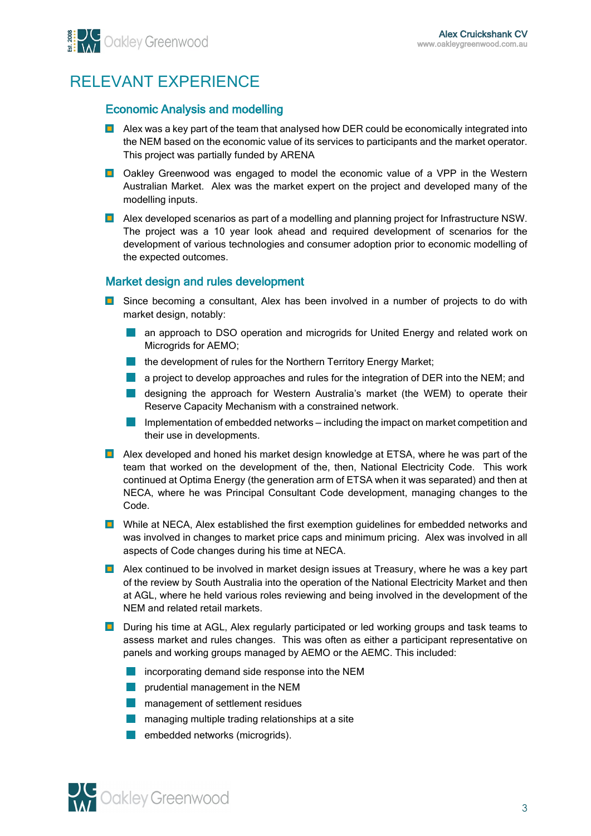# RELEVANT EXPERIENCE

### Economic Analysis and modelling

- **Alex was a key part of the team that analysed how DER could be economically integrated into** the NEM based on the economic value of its services to participants and the market operator. This project was partially funded by ARENA
- **D** Oakley Greenwood was engaged to model the economic value of a VPP in the Western Australian Market. Alex was the market expert on the project and developed many of the modelling inputs.
- **Alex developed scenarios as part of a modelling and planning project for Infrastructure NSW.** The project was a 10 year look ahead and required development of scenarios for the development of various technologies and consumer adoption prior to economic modelling of the expected outcomes.

### Market design and rules development

- **D** Since becoming a consultant, Alex has been involved in a number of projects to do with market design, notably:
	- **a** an approach to DSO operation and microgrids for United Energy and related work on Microgrids for AEMO;
	- **the development of rules for the Northern Territory Energy Market;**
	- **a** project to develop approaches and rules for the integration of DER into the NEM; and
	- **designing the approach for Western Australia's market (the WEM) to operate their** Reserve Capacity Mechanism with a constrained network.
	- **College** Implementation of embedded networks — including the impact on market competition and their use in developments.
- **Alex developed and honed his market design knowledge at ETSA, where he was part of the** team that worked on the development of the, then, National Electricity Code. This work continued at Optima Energy (the generation arm of ETSA when it was separated) and then at NECA, where he was Principal Consultant Code development, managing changes to the Code.
- **D** While at NECA, Alex established the first exemption guidelines for embedded networks and was involved in changes to market price caps and minimum pricing. Alex was involved in all aspects of Code changes during his time at NECA.
- **Alex continued to be involved in market design issues at Treasury, where he was a key part** of the review by South Australia into the operation of the National Electricity Market and then at AGL, where he held various roles reviewing and being involved in the development of the NEM and related retail markets.
- **D** During his time at AGL, Alex regularly participated or led working groups and task teams to assess market and rules changes. This was often as either a participant representative on panels and working groups managed by AEMO or the AEMC. This included:
	- **incorporating demand side response into the NEM**
	- **prudential management in the NEM**
	- **n** management of settlement residues
	- **n** managing multiple trading relationships at a site
	- **Exampled** networks (microgrids).

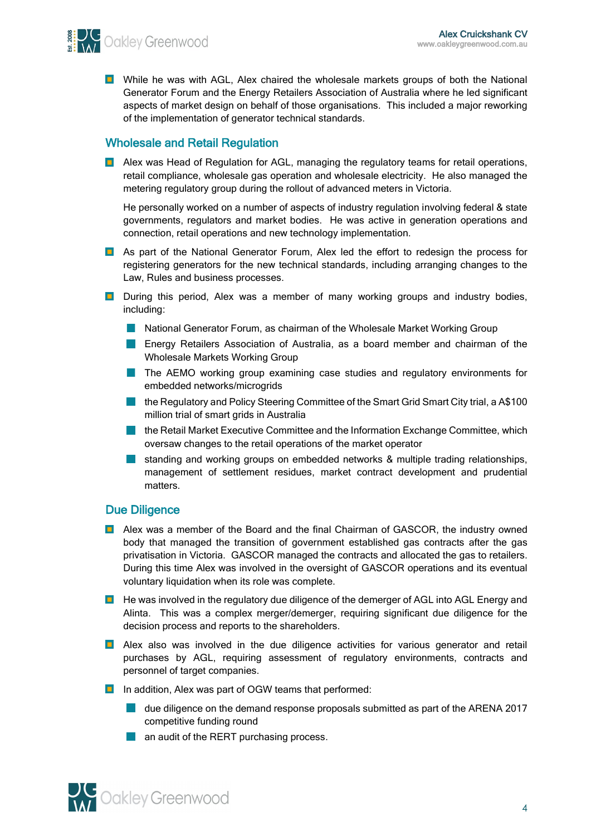**SELVIC** Oakley Greenwood

**D** While he was with AGL, Alex chaired the wholesale markets groups of both the National Generator Forum and the Energy Retailers Association of Australia where he led significant aspects of market design on behalf of those organisations. This included a major reworking of the implementation of generator technical standards.

### Wholesale and Retail Regulation

**Alex was Head of Regulation for AGL, managing the regulatory teams for retail operations,** retail compliance, wholesale gas operation and wholesale electricity. He also managed the metering regulatory group during the rollout of advanced meters in Victoria.

He personally worked on a number of aspects of industry regulation involving federal & state governments, regulators and market bodies. He was active in generation operations and connection, retail operations and new technology implementation.

- **As part of the National Generator Forum, Alex led the effort to redesign the process for** registering generators for the new technical standards, including arranging changes to the Law, Rules and business processes.
- **D** During this period, Alex was a member of many working groups and industry bodies, including:
	- **National Generator Forum, as chairman of the Wholesale Market Working Group**
	- **Energy Retailers Association of Australia, as a board member and chairman of the** Wholesale Markets Working Group
	- **The AEMO working group examining case studies and regulatory environments for** embedded networks/microgrids
	- **The Regulatory and Policy Steering Committee of the Smart Grid Smart City trial, a A\$100** million trial of smart grids in Australia
	- **The Retail Market Executive Committee and the Information Exchange Committee, which** oversaw changes to the retail operations of the market operator
	- standing and working groups on embedded networks & multiple trading relationships, management of settlement residues, market contract development and prudential matters.

### Due Diligence

- **Alex was a member of the Board and the final Chairman of GASCOR, the industry owned** body that managed the transition of government established gas contracts after the gas privatisation in Victoria. GASCOR managed the contracts and allocated the gas to retailers. During this time Alex was involved in the oversight of GASCOR operations and its eventual voluntary liquidation when its role was complete.
- **He** was involved in the regulatory due diligence of the demerger of AGL into AGL Energy and Alinta. This was a complex merger/demerger, requiring significant due diligence for the decision process and reports to the shareholders.
- **Alex also was involved in the due diligence activities for various generator and retail** purchases by AGL, requiring assessment of regulatory environments, contracts and personnel of target companies.
- In addition, Alex was part of OGW teams that performed:
	- **due diligence on the demand response proposals submitted as part of the ARENA 2017** competitive funding round
	- **an audit of the RERT purchasing process.**

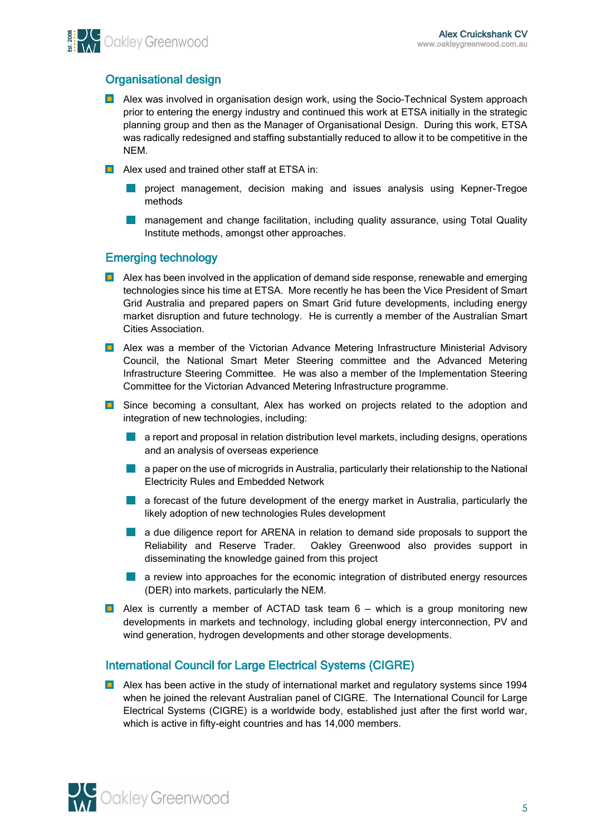

### Organisational design

- **Alex was involved in organisation design work, using the Socio-Technical System approach** prior to entering the energy industry and continued this work at ETSA initially in the strategic planning group and then as the Manager of Organisational Design. During this work, ETSA was radically redesigned and staffing substantially reduced to allow it to be competitive in the NEM.
- **Alex used and trained other staff at ETSA in:** 
	- project management, decision making and issues analysis using Kepner-Tregoe methods
	- management and change facilitation, including quality assurance, using Total Quality Institute methods, amongst other approaches.

#### Emerging technology

- **Alex has been involved in the application of demand side response, renewable and emerging** technologies since his time at ETSA. More recently he has been the Vice President of Smart Grid Australia and prepared papers on Smart Grid future developments, including energy market disruption and future technology. He is currently a member of the Australian Smart Cities Association.
- **Alex was a member of the Victorian Advance Metering Infrastructure Ministerial Advisory** Council, the National Smart Meter Steering committee and the Advanced Metering Infrastructure Steering Committee. He was also a member of the Implementation Steering Committee for the Victorian Advanced Metering Infrastructure programme.
- **E** Since becoming a consultant, Alex has worked on projects related to the adoption and integration of new technologies, including:
	- **a** a report and proposal in relation distribution level markets, including designs, operations and an analysis of overseas experience
	- **a** a paper on the use of microgrids in Australia, particularly their relationship to the National Electricity Rules and Embedded Network
	- **a** a forecast of the future development of the energy market in Australia, particularly the likely adoption of new technologies Rules development
	- **a** a due diligence report for ARENA in relation to demand side proposals to support the Reliability and Reserve Trader. Oakley Greenwood also provides support in disseminating the knowledge gained from this project
	- **a** a review into approaches for the economic integration of distributed energy resources (DER) into markets, particularly the NEM.
- **Alex is currently a member of ACTAD task team**  $6 -$  **which is a group monitoring new** developments in markets and technology, including global energy interconnection, PV and wind generation, hydrogen developments and other storage developments.

### International Council for Large Electrical Systems (CIGRE)

**Alex has been active in the study of international market and regulatory systems since 1994** when he joined the relevant Australian panel of CIGRE. The International Council for Large Electrical Systems (CIGRE) is a worldwide body, established just after the first world war, which is active in fifty-eight countries and has 14,000 members.

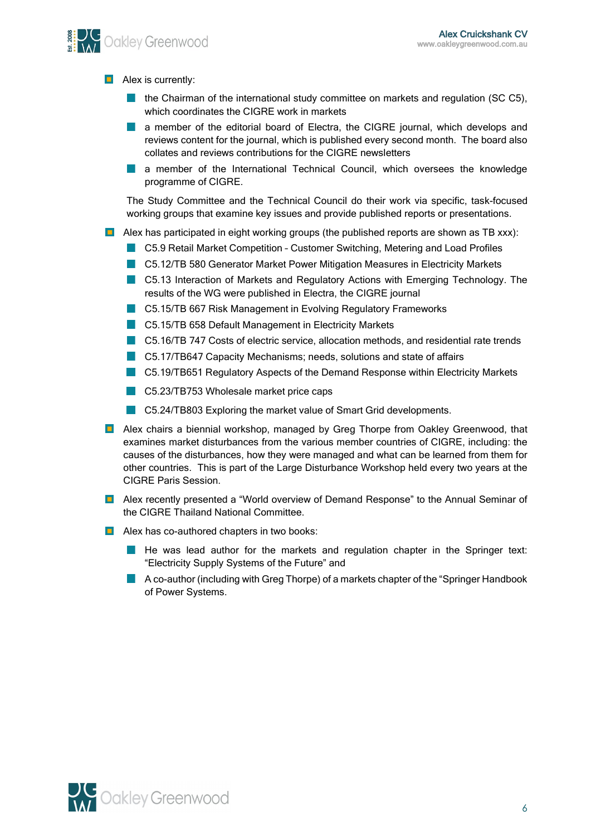**Let Oakley Greenwood** 

 $\blacksquare$  Alex is currently:

- the Chairman of the international study committee on markets and regulation (SC C5), which coordinates the CIGRE work in markets
- **a** a member of the editorial board of Electra, the CIGRE journal, which develops and reviews content for the journal, which is published every second month. The board also collates and reviews contributions for the CIGRE newsletters
- a member of the International Technical Council, which oversees the knowledge a sa Ba programme of CIGRE.

The Study Committee and the Technical Council do their work via specific, task-focused working groups that examine key issues and provide published reports or presentations.

- **Alex has participated in eight working groups (the published reports are shown as TB xxx):** 
	- C5.9 Retail Market Competition Customer Switching, Metering and Load Profiles
	- C5.12/TB 580 Generator Market Power Mitigation Measures in Electricity Markets
	- C5.13 Interaction of Markets and Regulatory Actions with Emerging Technology. The results of the WG were published in Electra, the CIGRE journal
	- **C5.15/TB 667 Risk Management in Evolving Regulatory Frameworks**
	- **C5.15/TB 658 Default Management in Electricity Markets**
	- C5.16/TB 747 Costs of electric service, allocation methods, and residential rate trends
	- C5.17/TB647 Capacity Mechanisms; needs, solutions and state of affairs
	- C5.19/TB651 Regulatory Aspects of the Demand Response within Electricity Markets
	- C5.23/TB753 Wholesale market price caps
	- C5.24/TB803 Exploring the market value of Smart Grid developments.
- **Alex chairs a biennial workshop, managed by Greg Thorpe from Oakley Greenwood, that** examines market disturbances from the various member countries of CIGRE, including: the causes of the disturbances, how they were managed and what can be learned from them for other countries. This is part of the Large Disturbance Workshop held every two years at the CIGRE Paris Session.
- **Alex recently presented a "World overview of Demand Response" to the Annual Seminar of** the CIGRE Thailand National Committee.
- **Alex has co-authored chapters in two books:** 
	- He was lead author for the markets and regulation chapter in the Springer text: "Electricity Supply Systems of the Future" and
	- **A** co-author (including with Greg Thorpe) of a markets chapter of the "Springer Handbook" of Power Systems.